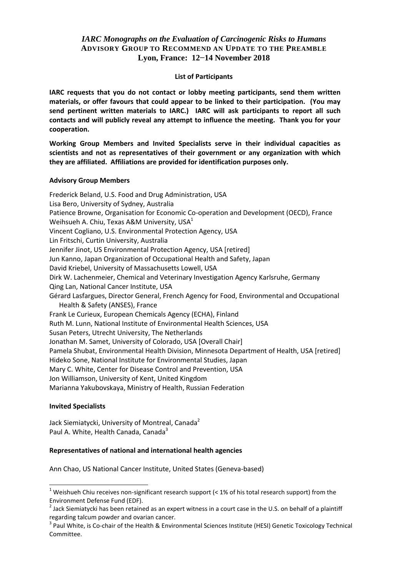# *IARC Monographs on the Evaluation of Carcinogenic Risks to Humans* **ADVISORY GROUP TO RECOMMEND AN UPDATE TO THE PREAMBLE Lyon, France: 12−14 November 2018**

### **List of Participants**

**IARC requests that you do not contact or lobby meeting participants, send them written materials, or offer favours that could appear to be linked to their participation. (You may send pertinent written materials to IARC.) IARC will ask participants to report all such contacts and will publicly reveal any attempt to influence the meeting. Thank you for your cooperation.**

**Working Group Members and Invited Specialists serve in their individual capacities as scientists and not as representatives of their government or any organization with which they are affiliated. Affiliations are provided for identification purposes only.**

### **Advisory Group Members**

Frederick Beland, U.S. Food and Drug Administration, USA Lisa Bero, University of Sydney, Australia Patience Browne, Organisation for Economic Co-operation and Development (OECD), France Weihsueh A. Chiu, Texas A&M University,  $USA<sup>1</sup>$ Vincent Cogliano, U.S. Environmental Protection Agency, USA Lin Fritschi, Curtin University, Australia Jennifer Jinot, US Environmental Protection Agency, USA [retired] Jun Kanno, Japan Organization of Occupational Health and Safety, Japan David Kriebel, University of Massachusetts Lowell, USA Dirk W. Lachenmeier, Chemical and Veterinary Investigation Agency Karlsruhe, Germany Qing Lan, National Cancer Institute, USA Gérard Lasfargues, Director General, French Agency for Food, Environmental and Occupational Health & Safety (ANSES), France Frank Le Curieux, European Chemicals Agency (ECHA), Finland Ruth M. Lunn, National Institute of Environmental Health Sciences, USA Susan Peters, Utrecht University, The Netherlands Jonathan M. Samet, University of Colorado, USA [Overall Chair] Pamela Shubat, Environmental Health Division, Minnesota Department of Health, USA [retired] Hideko Sone, National Institute for Environmental Studies, Japan Mary C. White, Center for Disease Control and Prevention, USA Jon Williamson, University of Kent, United Kingdom Marianna Yakubovskaya, Ministry of Health, Russian Federation

### **Invited Specialists**

-

Jack Siemiatycki, University of Montreal, Canada<sup>2</sup> Paul A. White, Health Canada, Canada<sup>3</sup>

#### **Representatives of national and international health agencies**

Ann Chao, US National Cancer Institute, United States (Geneva-based)

<sup>&</sup>lt;sup>1</sup> Weishueh Chiu receives non-significant research support (< 1% of his total research support) from the Environment Defense Fund (EDF).

<sup>&</sup>lt;sup>2</sup> Jack Siemiatycki has been retained as an expert witness in a court case in the U.S. on behalf of a plaintiff regarding talcum powder and ovarian cancer.

<sup>&</sup>lt;sup>3</sup> Paul White, is Co-chair of the Health & Environmental Sciences Institute (HESI) Genetic Toxicology Technical Committee.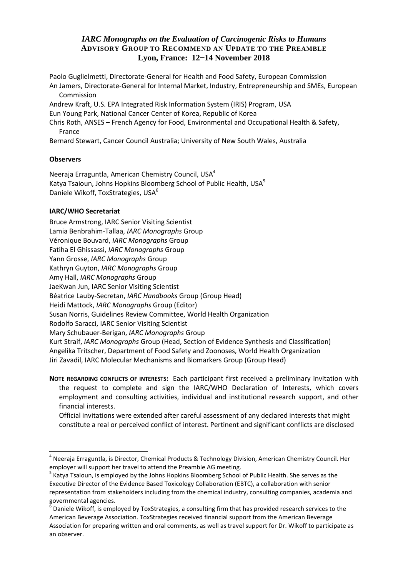## *IARC Monographs on the Evaluation of Carcinogenic Risks to Humans* **ADVISORY GROUP TO RECOMMEND AN UPDATE TO THE PREAMBLE Lyon, France: 12−14 November 2018**

Paolo Guglielmetti, Directorate-General for Health and Food Safety, European Commission An Jamers, Directorate-General for Internal Market, Industry, Entrepreneurship and SMEs, European Commission

Andrew Kraft, U.S. EPA Integrated Risk Information System (IRIS) Program, USA

Eun Young Park, National Cancer Center of Korea, Republic of Korea

Chris Roth, ANSES – French Agency for Food, Environmental and Occupational Health & Safety, France

Bernard Stewart, Cancer Council Australia; University of New South Wales, Australia

## **Observers**

-

Neeraja Erraguntla, American Chemistry Council, USA<sup>4</sup> Katya Tsaioun, Johns Hopkins Bloomberg School of Public Health, USA<sup>5</sup> Daniele Wikoff, ToxStrategies, USA<sup>6</sup>

## **IARC/WHO Secretariat**

Bruce Armstrong, IARC Senior Visiting Scientist Lamia Benbrahim-Tallaa, *IARC Monographs* Group Véronique Bouvard, *IARC Monographs* Group Fatiha El Ghissassi, *IARC Monographs* Group Yann Grosse, *IARC Monographs* Group Kathryn Guyton, *IARC Monographs* Group Amy Hall, *IARC Monographs* Group JaeKwan Jun, IARC Senior Visiting Scientist Béatrice Lauby-Secretan, *IARC Handbooks* Group (Group Head) Heidi Mattock, *IARC Monographs* Group (Editor) Susan Norris, Guidelines Review Committee, World Health Organization Rodolfo Saracci, IARC Senior Visiting Scientist Mary Schubauer-Berigan, *IARC Monographs* Group Kurt Straif, *IARC Monographs* Group (Head, Section of Evidence Synthesis and Classification) Angelika Tritscher, Department of Food Safety and Zoonoses, World Health Organization Jiri Zavadil, IARC Molecular Mechanisms and Biomarkers Group (Group Head)

**NOTE REGARDING CONFLICTS OF INTERESTS:** Each participant first received a preliminary invitation with the request to complete and sign the IARC/WHO Declaration of Interests, which covers employment and consulting activities, individual and institutional research support, and other financial interests.

Official invitations were extended after careful assessment of any declared interests that might constitute a real or perceived conflict of interest. Pertinent and significant conflicts are disclosed

<sup>4</sup> Neeraja Erraguntla, is Director, Chemical Products & Technology Division, American Chemistry Council. Her employer will support her travel to attend the Preamble AG meeting.

<sup>&</sup>lt;sup>5</sup> Katya Tsaioun, is employed by the Johns Hopkins Bloomberg School of Public Health. She serves as the Executive Director of the Evidence Based Toxicology Collaboration (EBTC), a collaboration with senior representation from stakeholders including from the chemical industry, consulting companies, academia and governmental agencies.<br><sup>6</sup> Daniele Wikeff, is emn

Daniele Wikoff, is employed by ToxStrategies, a consulting firm that has provided research services to the American Beverage Association. ToxStrategies received financial support from the American Beverage Association for preparing written and oral comments, as well as travel support for Dr. Wikoff to participate as an observer.